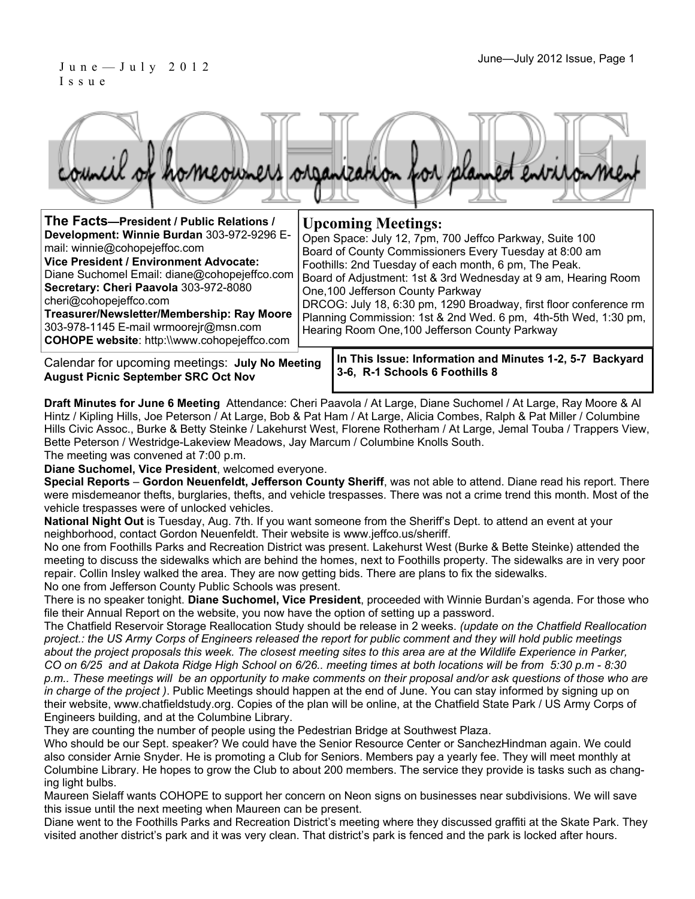### $J$ une— $J$ uly 2012 Issue, Page 1 Issue



| The Facts-President / Public Relations /      | <b>Upcoming Meetings:</b>                                                                          |
|-----------------------------------------------|----------------------------------------------------------------------------------------------------|
| mail: winnie@cohopejeffoc.com                 | Development: Winnie Burdan 303-972-9296 E- Open Space: July 12, 7pm, 700 Jeffco Parkway, Suite 100 |
| <b>Vice President / Environment Advocate:</b> | Board of County Commissioners Every Tuesday at 8:00 am                                             |
| Diane Suchomel Email: diane@cohopejeffco.com  | Foothills: 2nd Tuesday of each month, 6 pm, The Peak.                                              |
| Secretary: Cheri Paavola 303-972-8080         | Board of Adjustment: 1st & 3rd Wednesday at 9 am, Hearing Room                                     |
| cheri@cohopejeffco.com                        | One, 100 Jefferson County Parkway                                                                  |
| Treasurer/Newsletter/Membership: Ray Moore    | DRCOG: July 18, 6:30 pm, 1290 Broadway, first floor conference rm                                  |
| 303-978-1145 E-mail wrmoorejr@msn.com         | Planning Commission: 1st & 2nd Wed. 6 pm, 4th-5th Wed, 1:30 pm,                                    |
| COHOPE website: http://www.cohopejeffco.com   | Hearing Room One, 100 Jefferson County Parkway                                                     |
|                                               |                                                                                                    |

Calendar for upcoming meetings: **July No Meeting August Picnic September SRC Oct Nov** 

**In This Issue: Information and Minutes 1-2, 5-7 Backyard 3-6, R-1 Schools 6 Foothills 8** 

**Draft Minutes for June 6 Meeting** Attendance: Cheri Paavola / At Large, Diane Suchomel / At Large, Ray Moore & Al Hintz / Kipling Hills, Joe Peterson / At Large, Bob & Pat Ham / At Large, Alicia Combes, Ralph & Pat Miller / Columbine Hills Civic Assoc., Burke & Betty Steinke / Lakehurst West, Florene Rotherham / At Large, Jemal Touba / Trappers View, Bette Peterson / Westridge-Lakeview Meadows, Jay Marcum / Columbine Knolls South.

The meeting was convened at 7:00 p.m.

**Diane Suchomel, Vice President**, welcomed everyone.

**Special Reports** – **Gordon Neuenfeldt, Jefferson County Sheriff**, was not able to attend. Diane read his report. There were misdemeanor thefts, burglaries, thefts, and vehicle trespasses. There was not a crime trend this month. Most of the vehicle trespasses were of unlocked vehicles.

**National Night Out** is Tuesday, Aug. 7th. If you want someone from the Sheriff's Dept. to attend an event at your neighborhood, contact Gordon Neuenfeldt. Their website is www.jeffco.us/sheriff.

No one from Foothills Parks and Recreation District was present. Lakehurst West (Burke & Bette Steinke) attended the meeting to discuss the sidewalks which are behind the homes, next to Foothills property. The sidewalks are in very poor repair. Collin Insley walked the area. They are now getting bids. There are plans to fix the sidewalks. No one from Jefferson County Public Schools was present.

There is no speaker tonight. **Diane Suchomel, Vice President**, proceeded with Winnie Burdan's agenda. For those who file their Annual Report on the website, you now have the option of setting up a password.

The Chatfield Reservoir Storage Reallocation Study should be release in 2 weeks. *(update on the Chatfield Reallocation project.: the US Army Corps of Engineers released the report for public comment and they will hold public meetings*  about the project proposals this week. The closest meeting sites to this area are at the Wildlife Experience in Parker, *CO on 6/25 and at Dakota Ridge High School on 6/26.. meeting times at both locations will be from 5:30 p.m - 8:30 p.m.. These meetings will be an opportunity to make comments on their proposal and/or ask questions of those who are in charge of the project )*. Public Meetings should happen at the end of June. You can stay informed by signing up on their website, www.chatfieldstudy.org. Copies of the plan will be online, at the Chatfield State Park / US Army Corps of Engineers building, and at the Columbine Library.

They are counting the number of people using the Pedestrian Bridge at Southwest Plaza.

Who should be our Sept. speaker? We could have the Senior Resource Center or SanchezHindman again. We could also consider Arnie Snyder. He is promoting a Club for Seniors. Members pay a yearly fee. They will meet monthly at Columbine Library. He hopes to grow the Club to about 200 members. The service they provide is tasks such as changing light bulbs.

Maureen Sielaff wants COHOPE to support her concern on Neon signs on businesses near subdivisions. We will save this issue until the next meeting when Maureen can be present.

Diane went to the Foothills Parks and Recreation District's meeting where they discussed graffiti at the Skate Park. They visited another district's park and it was very clean. That district's park is fenced and the park is locked after hours.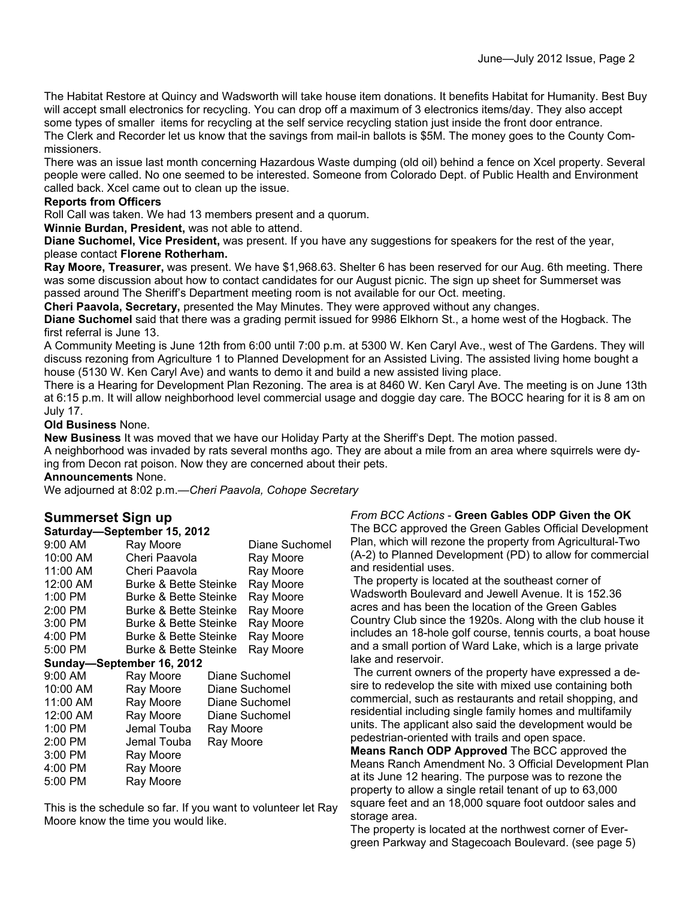The Habitat Restore at Quincy and Wadsworth will take house item donations. It benefits Habitat for Humanity. Best Buy will accept small electronics for recycling. You can drop off a maximum of 3 electronics items/day. They also accept some types of smaller items for recycling at the self service recycling station just inside the front door entrance. The Clerk and Recorder let us know that the savings from mail-in ballots is \$5M. The money goes to the County Commissioners.

There was an issue last month concerning Hazardous Waste dumping (old oil) behind a fence on Xcel property. Several people were called. No one seemed to be interested. Someone from Colorado Dept. of Public Health and Environment called back. Xcel came out to clean up the issue.

### **Reports from Officers**

Roll Call was taken. We had 13 members present and a quorum.

**Winnie Burdan, President,** was not able to attend.

**Diane Suchomel, Vice President,** was present. If you have any suggestions for speakers for the rest of the year, please contact **Florene Rotherham.**

**Ray Moore, Treasurer,** was present. We have \$1,968.63. Shelter 6 has been reserved for our Aug. 6th meeting. There was some discussion about how to contact candidates for our August picnic. The sign up sheet for Summerset was passed around The Sheriff's Department meeting room is not available for our Oct. meeting.

**Cheri Paavola, Secretary,** presented the May Minutes. They were approved without any changes.

**Diane Suchomel** said that there was a grading permit issued for 9986 Elkhorn St., a home west of the Hogback. The first referral is June 13.

A Community Meeting is June 12th from 6:00 until 7:00 p.m. at 5300 W. Ken Caryl Ave., west of The Gardens. They will discuss rezoning from Agriculture 1 to Planned Development for an Assisted Living. The assisted living home bought a house (5130 W. Ken Caryl Ave) and wants to demo it and build a new assisted living place.

There is a Hearing for Development Plan Rezoning. The area is at 8460 W. Ken Caryl Ave. The meeting is on June 13th at 6:15 p.m. It will allow neighborhood level commercial usage and doggie day care. The BOCC hearing for it is 8 am on July 17.

**Old Business** None.

**New Business** It was moved that we have our Holiday Party at the Sheriff's Dept. The motion passed.

A neighborhood was invaded by rats several months ago. They are about a mile from an area where squirrels were dying from Decon rat poison. Now they are concerned about their pets.

#### **Announcements** None.

We adjourned at 8:02 p.m.—*Cheri Paavola, Cohope Secretary* 

### **Summerset Sign up**

|                           | Saturday—September 15, 2012      |           |                |  |  |
|---------------------------|----------------------------------|-----------|----------------|--|--|
| 9:00 AM                   | Ray Moore                        |           | Diane Suchomel |  |  |
| 10:00 AM                  | Cheri Paavola                    |           | Ray Moore      |  |  |
| 11:00 AM                  | Cheri Paavola                    |           | Ray Moore      |  |  |
| 12:00 AM                  | Burke & Bette Steinke            |           | Ray Moore      |  |  |
| $1:00$ PM                 | Burke & Bette Steinke            |           | Ray Moore      |  |  |
| 2:00 PM                   | Burke & Bette Steinke            |           | Ray Moore      |  |  |
| 3:00 PM                   | <b>Burke &amp; Bette Steinke</b> |           | Ray Moore      |  |  |
| 4:00 PM                   | Burke & Bette Steinke            |           | Ray Moore      |  |  |
| 5:00 PM                   | Burke & Bette Steinke            |           | Ray Moore      |  |  |
| Sunday—September 16, 2012 |                                  |           |                |  |  |
| $9:00$ AM                 | Ray Moore                        |           | Diane Suchomel |  |  |
| 10:00 AM                  | Ray Moore                        |           | Diane Suchomel |  |  |
| 11:00 AM                  | Ray Moore                        |           | Diane Suchomel |  |  |
| 12:00 AM                  | Ray Moore                        |           | Diane Suchomel |  |  |
| 1:00 PM                   | Jemal Touba                      | Ray Moore |                |  |  |
| $2:00$ PM                 | Jemal Touba                      | Ray Moore |                |  |  |
| 3:00 PM                   | Ray Moore                        |           |                |  |  |
| 4:00 PM                   | Ray Moore                        |           |                |  |  |
| 5:00 PM                   | Ray Moore                        |           |                |  |  |
|                           |                                  |           |                |  |  |

This is the schedule so far. If you want to volunteer let Ray Moore know the time you would like.

#### *From BCC Actions* - **Green Gables ODP Given the OK**

The BCC approved the Green Gables Official Development Plan, which will rezone the property from Agricultural-Two (A-2) to Planned Development (PD) to allow for commercial and residential uses.

 The property is located at the southeast corner of Wadsworth Boulevard and Jewell Avenue. It is 152.36 acres and has been the location of the Green Gables Country Club since the 1920s. Along with the club house it includes an 18-hole golf course, tennis courts, a boat house and a small portion of Ward Lake, which is a large private lake and reservoir.

 The current owners of the property have expressed a desire to redevelop the site with mixed use containing both commercial, such as restaurants and retail shopping, and residential including single family homes and multifamily units. The applicant also said the development would be pedestrian-oriented with trails and open space.

**Means Ranch ODP Approved** The BCC approved the Means Ranch Amendment No. 3 Official Development Plan at its June 12 hearing. The purpose was to rezone the property to allow a single retail tenant of up to 63,000 square feet and an 18,000 square foot outdoor sales and storage area.

The property is located at the northwest corner of Evergreen Parkway and Stagecoach Boulevard. (see page 5)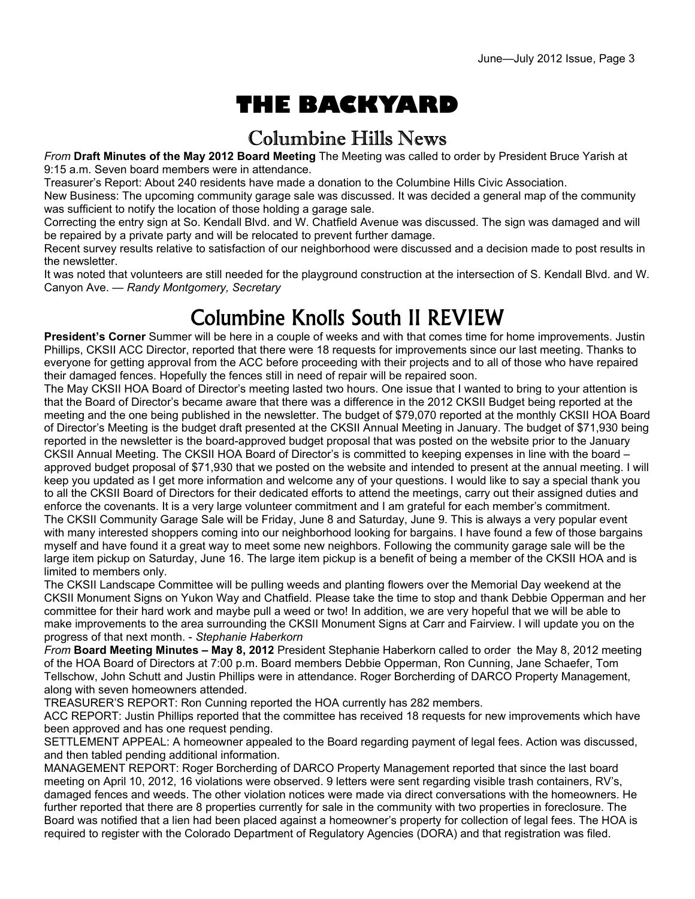# **THE BACKYARD**

## Columbine Hills News

*From* **Draft Minutes of the May 2012 Board Meeting** The Meeting was called to order by President Bruce Yarish at 9:15 a.m. Seven board members were in attendance.

Treasurer's Report: About 240 residents have made a donation to the Columbine Hills Civic Association.

New Business: The upcoming community garage sale was discussed. It was decided a general map of the community was sufficient to notify the location of those holding a garage sale.

Correcting the entry sign at So. Kendall Blvd. and W. Chatfield Avenue was discussed. The sign was damaged and will be repaired by a private party and will be relocated to prevent further damage.

Recent survey results relative to satisfaction of our neighborhood were discussed and a decision made to post results in the newsletter.

It was noted that volunteers are still needed for the playground construction at the intersection of S. Kendall Blvd. and W. Canyon Ave. — *Randy Montgomery, Secretary* 

# Columbine Knolls South II REVIEW

**President's Corner** Summer will be here in a couple of weeks and with that comes time for home improvements. Justin Phillips, CKSII ACC Director, reported that there were 18 requests for improvements since our last meeting. Thanks to everyone for getting approval from the ACC before proceeding with their projects and to all of those who have repaired their damaged fences. Hopefully the fences still in need of repair will be repaired soon.

The May CKSII HOA Board of Director's meeting lasted two hours. One issue that I wanted to bring to your attention is that the Board of Director's became aware that there was a difference in the 2012 CKSII Budget being reported at the meeting and the one being published in the newsletter. The budget of \$79,070 reported at the monthly CKSII HOA Board of Director's Meeting is the budget draft presented at the CKSII Annual Meeting in January. The budget of \$71,930 being reported in the newsletter is the board-approved budget proposal that was posted on the website prior to the January CKSII Annual Meeting. The CKSII HOA Board of Director's is committed to keeping expenses in line with the board – approved budget proposal of \$71,930 that we posted on the website and intended to present at the annual meeting. I will keep you updated as I get more information and welcome any of your questions. I would like to say a special thank you to all the CKSII Board of Directors for their dedicated efforts to attend the meetings, carry out their assigned duties and enforce the covenants. It is a very large volunteer commitment and I am grateful for each member's commitment. The CKSII Community Garage Sale will be Friday, June 8 and Saturday, June 9. This is always a very popular event with many interested shoppers coming into our neighborhood looking for bargains. I have found a few of those bargains myself and have found it a great way to meet some new neighbors. Following the community garage sale will be the large item pickup on Saturday, June 16. The large item pickup is a benefit of being a member of the CKSII HOA and is limited to members only.

The CKSII Landscape Committee will be pulling weeds and planting flowers over the Memorial Day weekend at the CKSII Monument Signs on Yukon Way and Chatfield. Please take the time to stop and thank Debbie Opperman and her committee for their hard work and maybe pull a weed or two! In addition, we are very hopeful that we will be able to make improvements to the area surrounding the CKSII Monument Signs at Carr and Fairview. I will update you on the progress of that next month. - *Stephanie Haberkorn* 

*From* **Board Meeting Minutes – May 8, 2012** President Stephanie Haberkorn called to order the May 8, 2012 meeting of the HOA Board of Directors at 7:00 p.m. Board members Debbie Opperman, Ron Cunning, Jane Schaefer, Tom Tellschow, John Schutt and Justin Phillips were in attendance. Roger Borcherding of DARCO Property Management, along with seven homeowners attended.

TREASURER'S REPORT: Ron Cunning reported the HOA currently has 282 members.

ACC REPORT: Justin Phillips reported that the committee has received 18 requests for new improvements which have been approved and has one request pending.

SETTLEMENT APPEAL: A homeowner appealed to the Board regarding payment of legal fees. Action was discussed, and then tabled pending additional information.

MANAGEMENT REPORT: Roger Borcherding of DARCO Property Management reported that since the last board meeting on April 10, 2012, 16 violations were observed. 9 letters were sent regarding visible trash containers, RV's, damaged fences and weeds. The other violation notices were made via direct conversations with the homeowners. He further reported that there are 8 properties currently for sale in the community with two properties in foreclosure. The Board was notified that a lien had been placed against a homeowner's property for collection of legal fees. The HOA is required to register with the Colorado Department of Regulatory Agencies (DORA) and that registration was filed.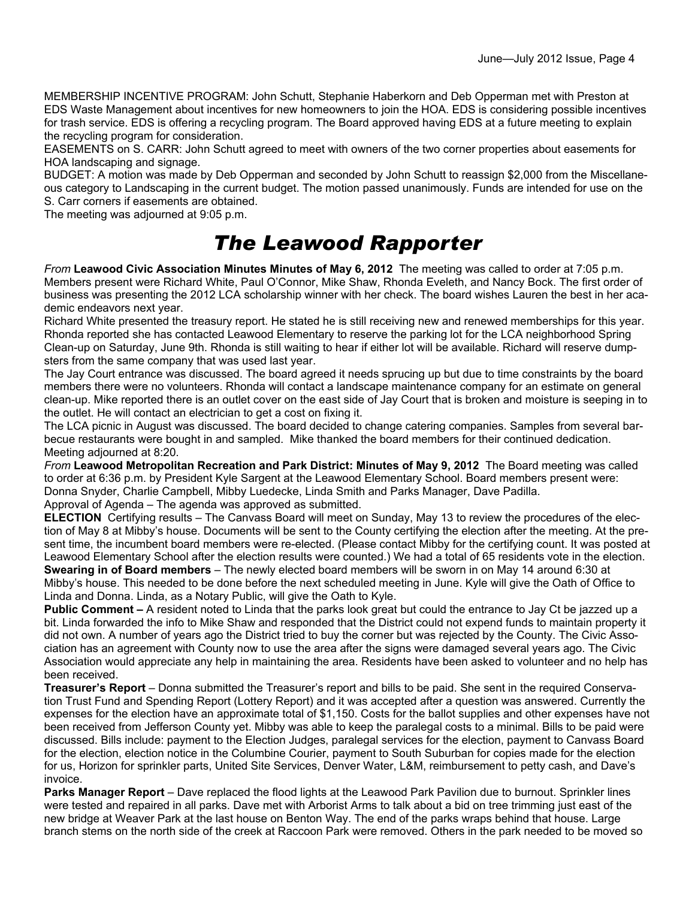MEMBERSHIP INCENTIVE PROGRAM: John Schutt, Stephanie Haberkorn and Deb Opperman met with Preston at EDS Waste Management about incentives for new homeowners to join the HOA. EDS is considering possible incentives for trash service. EDS is offering a recycling program. The Board approved having EDS at a future meeting to explain the recycling program for consideration.

EASEMENTS on S. CARR: John Schutt agreed to meet with owners of the two corner properties about easements for HOA landscaping and signage.

BUDGET: A motion was made by Deb Opperman and seconded by John Schutt to reassign \$2,000 from the Miscellaneous category to Landscaping in the current budget. The motion passed unanimously. Funds are intended for use on the S. Carr corners if easements are obtained.

The meeting was adjourned at 9:05 p.m.

## *The Leawood Rapporter*

*From* **Leawood Civic Association Minutes Minutes of May 6, 2012** The meeting was called to order at 7:05 p.m. Members present were Richard White, Paul O'Connor, Mike Shaw, Rhonda Eveleth, and Nancy Bock. The first order of business was presenting the 2012 LCA scholarship winner with her check. The board wishes Lauren the best in her academic endeavors next year.

Richard White presented the treasury report. He stated he is still receiving new and renewed memberships for this year. Rhonda reported she has contacted Leawood Elementary to reserve the parking lot for the LCA neighborhood Spring Clean-up on Saturday, June 9th. Rhonda is still waiting to hear if either lot will be available. Richard will reserve dumpsters from the same company that was used last year.

The Jay Court entrance was discussed. The board agreed it needs sprucing up but due to time constraints by the board members there were no volunteers. Rhonda will contact a landscape maintenance company for an estimate on general clean-up. Mike reported there is an outlet cover on the east side of Jay Court that is broken and moisture is seeping in to the outlet. He will contact an electrician to get a cost on fixing it.

The LCA picnic in August was discussed. The board decided to change catering companies. Samples from several barbecue restaurants were bought in and sampled. Mike thanked the board members for their continued dedication. Meeting adjourned at 8:20.

*From* **Leawood Metropolitan Recreation and Park District: Minutes of May 9, 2012** The Board meeting was called to order at 6:36 p.m. by President Kyle Sargent at the Leawood Elementary School. Board members present were: Donna Snyder, Charlie Campbell, Mibby Luedecke, Linda Smith and Parks Manager, Dave Padilla. Approval of Agenda – The agenda was approved as submitted.

**ELECTION** Certifying results – The Canvass Board will meet on Sunday, May 13 to review the procedures of the election of May 8 at Mibby's house. Documents will be sent to the County certifying the election after the meeting. At the present time, the incumbent board members were re-elected. (Please contact Mibby for the certifying count. It was posted at Leawood Elementary School after the election results were counted.) We had a total of 65 residents vote in the election. **Swearing in of Board members** – The newly elected board members will be sworn in on May 14 around 6:30 at Mibby's house. This needed to be done before the next scheduled meeting in June. Kyle will give the Oath of Office to Linda and Donna. Linda, as a Notary Public, will give the Oath to Kyle.

**Public Comment –** A resident noted to Linda that the parks look great but could the entrance to Jay Ct be jazzed up a bit. Linda forwarded the info to Mike Shaw and responded that the District could not expend funds to maintain property it did not own. A number of years ago the District tried to buy the corner but was rejected by the County. The Civic Association has an agreement with County now to use the area after the signs were damaged several years ago. The Civic Association would appreciate any help in maintaining the area. Residents have been asked to volunteer and no help has been received.

**Treasurer's Report** – Donna submitted the Treasurer's report and bills to be paid. She sent in the required Conservation Trust Fund and Spending Report (Lottery Report) and it was accepted after a question was answered. Currently the expenses for the election have an approximate total of \$1,150. Costs for the ballot supplies and other expenses have not been received from Jefferson County yet. Mibby was able to keep the paralegal costs to a minimal. Bills to be paid were discussed. Bills include: payment to the Election Judges, paralegal services for the election, payment to Canvass Board for the election, election notice in the Columbine Courier, payment to South Suburban for copies made for the election for us, Horizon for sprinkler parts, United Site Services, Denver Water, L&M, reimbursement to petty cash, and Dave's invoice.

**Parks Manager Report** – Dave replaced the flood lights at the Leawood Park Pavilion due to burnout. Sprinkler lines were tested and repaired in all parks. Dave met with Arborist Arms to talk about a bid on tree trimming just east of the new bridge at Weaver Park at the last house on Benton Way. The end of the parks wraps behind that house. Large branch stems on the north side of the creek at Raccoon Park were removed. Others in the park needed to be moved so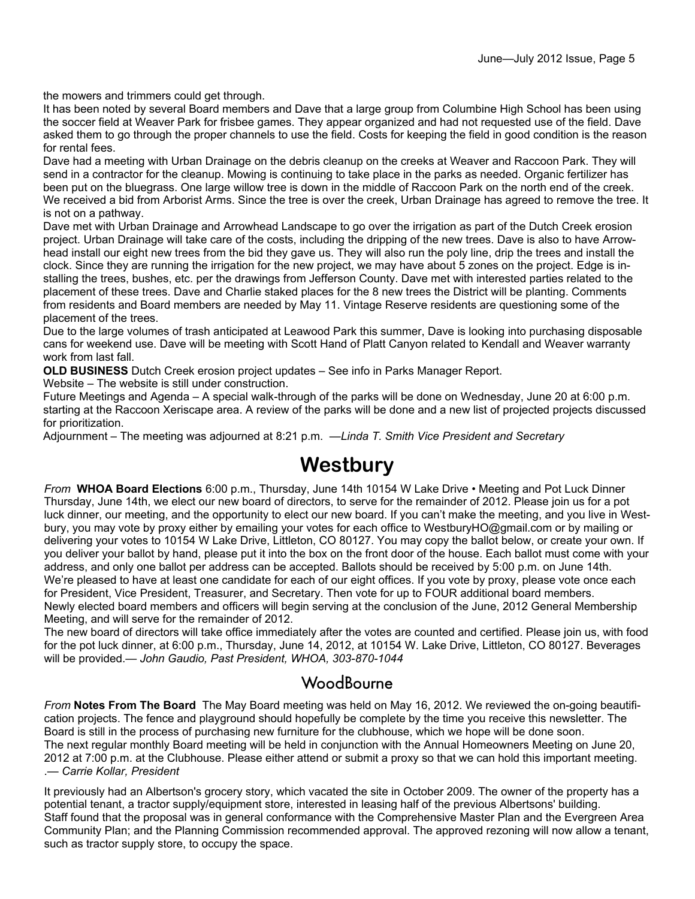the mowers and trimmers could get through.

It has been noted by several Board members and Dave that a large group from Columbine High School has been using the soccer field at Weaver Park for frisbee games. They appear organized and had not requested use of the field. Dave asked them to go through the proper channels to use the field. Costs for keeping the field in good condition is the reason for rental fees.

Dave had a meeting with Urban Drainage on the debris cleanup on the creeks at Weaver and Raccoon Park. They will send in a contractor for the cleanup. Mowing is continuing to take place in the parks as needed. Organic fertilizer has been put on the bluegrass. One large willow tree is down in the middle of Raccoon Park on the north end of the creek. We received a bid from Arborist Arms. Since the tree is over the creek, Urban Drainage has agreed to remove the tree. It is not on a pathway.

Dave met with Urban Drainage and Arrowhead Landscape to go over the irrigation as part of the Dutch Creek erosion project. Urban Drainage will take care of the costs, including the dripping of the new trees. Dave is also to have Arrowhead install our eight new trees from the bid they gave us. They will also run the poly line, drip the trees and install the clock. Since they are running the irrigation for the new project, we may have about 5 zones on the project. Edge is installing the trees, bushes, etc. per the drawings from Jefferson County. Dave met with interested parties related to the placement of these trees. Dave and Charlie staked places for the 8 new trees the District will be planting. Comments from residents and Board members are needed by May 11. Vintage Reserve residents are questioning some of the placement of the trees.

Due to the large volumes of trash anticipated at Leawood Park this summer, Dave is looking into purchasing disposable cans for weekend use. Dave will be meeting with Scott Hand of Platt Canyon related to Kendall and Weaver warranty work from last fall.

**OLD BUSINESS** Dutch Creek erosion project updates – See info in Parks Manager Report.

Website – The website is still under construction.

Future Meetings and Agenda – A special walk-through of the parks will be done on Wednesday, June 20 at 6:00 p.m. starting at the Raccoon Xeriscape area. A review of the parks will be done and a new list of projected projects discussed for prioritization.

Adjournment – The meeting was adjourned at 8:21 p.m. —*Linda T. Smith Vice President and Secretary* 

## **Westbury**

*From* **WHOA Board Elections** 6:00 p.m., Thursday, June 14th 10154 W Lake Drive • Meeting and Pot Luck Dinner Thursday, June 14th, we elect our new board of directors, to serve for the remainder of 2012. Please join us for a pot luck dinner, our meeting, and the opportunity to elect our new board. If you can't make the meeting, and you live in Westbury, you may vote by proxy either by emailing your votes for each office to WestburyHO@gmail.com or by mailing or delivering your votes to 10154 W Lake Drive, Littleton, CO 80127. You may copy the ballot below, or create your own. If you deliver your ballot by hand, please put it into the box on the front door of the house. Each ballot must come with your address, and only one ballot per address can be accepted. Ballots should be received by 5:00 p.m. on June 14th. We're pleased to have at least one candidate for each of our eight offices. If you vote by proxy, please vote once each for President, Vice President, Treasurer, and Secretary. Then vote for up to FOUR additional board members. Newly elected board members and officers will begin serving at the conclusion of the June, 2012 General Membership Meeting, and will serve for the remainder of 2012.

The new board of directors will take office immediately after the votes are counted and certified. Please join us, with food for the pot luck dinner, at 6:00 p.m., Thursday, June 14, 2012, at 10154 W. Lake Drive, Littleton, CO 80127. Beverages will be provided.— *John Gaudio, Past President, WHOA, 303-870-1044* 

### **WoodBourne**

*From* **Notes From The Board** The May Board meeting was held on May 16, 2012. We reviewed the on-going beautification projects. The fence and playground should hopefully be complete by the time you receive this newsletter. The Board is still in the process of purchasing new furniture for the clubhouse, which we hope will be done soon. The next regular monthly Board meeting will be held in conjunction with the Annual Homeowners Meeting on June 20, 2012 at 7:00 p.m. at the Clubhouse. Please either attend or submit a proxy so that we can hold this important meeting. .*— Carrie Kollar, President*

It previously had an Albertson's grocery story, which vacated the site in October 2009. The owner of the property has a potential tenant, a tractor supply/equipment store, interested in leasing half of the previous Albertsons' building. Staff found that the proposal was in general conformance with the Comprehensive Master Plan and the Evergreen Area Community Plan; and the Planning Commission recommended approval. The approved rezoning will now allow a tenant, such as tractor supply store, to occupy the space.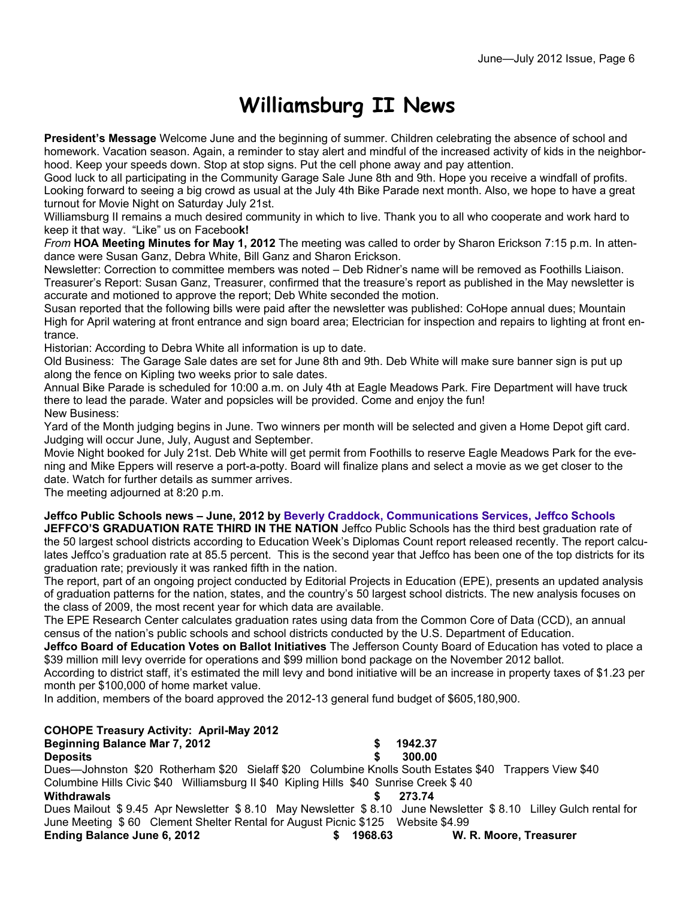## **Williamsburg II News**

**President's Message** Welcome June and the beginning of summer. Children celebrating the absence of school and homework. Vacation season. Again, a reminder to stay alert and mindful of the increased activity of kids in the neighborhood. Keep your speeds down. Stop at stop signs. Put the cell phone away and pay attention.

Good luck to all participating in the Community Garage Sale June 8th and 9th. Hope you receive a windfall of profits. Looking forward to seeing a big crowd as usual at the July 4th Bike Parade next month. Also, we hope to have a great turnout for Movie Night on Saturday July 21st.

Williamsburg II remains a much desired community in which to live. Thank you to all who cooperate and work hard to keep it that way. "Like" us on Faceboo**k!** 

*From* **HOA Meeting Minutes for May 1, 2012** The meeting was called to order by Sharon Erickson 7:15 p.m. In attendance were Susan Ganz, Debra White, Bill Ganz and Sharon Erickson.

Newsletter: Correction to committee members was noted – Deb Ridner's name will be removed as Foothills Liaison. Treasurer's Report: Susan Ganz, Treasurer, confirmed that the treasure's report as published in the May newsletter is accurate and motioned to approve the report; Deb White seconded the motion.

Susan reported that the following bills were paid after the newsletter was published: CoHope annual dues; Mountain High for April watering at front entrance and sign board area; Electrician for inspection and repairs to lighting at front entrance.

Historian: According to Debra White all information is up to date.

Old Business: The Garage Sale dates are set for June 8th and 9th. Deb White will make sure banner sign is put up along the fence on Kipling two weeks prior to sale dates.

Annual Bike Parade is scheduled for 10:00 a.m. on July 4th at Eagle Meadows Park. Fire Department will have truck there to lead the parade. Water and popsicles will be provided. Come and enjoy the fun! New Business:

Yard of the Month judging begins in June. Two winners per month will be selected and given a Home Depot gift card. Judging will occur June, July, August and September.

Movie Night booked for July 21st. Deb White will get permit from Foothills to reserve Eagle Meadows Park for the evening and Mike Eppers will reserve a port-a-potty. Board will finalize plans and select a movie as we get closer to the date. Watch for further details as summer arrives.

The meeting adjourned at 8:20 p.m.

**Jeffco Public Schools news – June, 2012 by Beverly Craddock, Communications Services, Jeffco Schools JEFFCO'S GRADUATION RATE THIRD IN THE NATION** Jeffco Public Schools has the third best graduation rate of

the 50 largest school districts according to Education Week's Diplomas Count report released recently. The report calculates Jeffco's graduation rate at 85.5 percent. This is the second year that Jeffco has been one of the top districts for its graduation rate; previously it was ranked fifth in the nation.

The report, part of an ongoing project conducted by Editorial Projects in Education (EPE), presents an updated analysis of graduation patterns for the nation, states, and the country's 50 largest school districts. The new analysis focuses on the class of 2009, the most recent year for which data are available.

The EPE Research Center calculates graduation rates using data from the Common Core of Data (CCD), an annual census of the nation's public schools and school districts conducted by the U.S. Department of Education.

**Jeffco Board of Education Votes on Ballot Initiatives** The Jefferson County Board of Education has voted to place a \$39 million mill levy override for operations and \$99 million bond package on the November 2012 ballot.

According to district staff, it's estimated the mill levy and bond initiative will be an increase in property taxes of \$1.23 per month per \$100,000 of home market value.

In addition, members of the board approved the 2012-13 general fund budget of \$605,180,900.

| <b>COHOPE Treasury Activity: April-May 2012</b>                                                                |         |         |                        |
|----------------------------------------------------------------------------------------------------------------|---------|---------|------------------------|
| <b>Beginning Balance Mar 7, 2012</b>                                                                           |         | 1942.37 |                        |
| <b>Deposits</b>                                                                                                |         | 300.00  |                        |
| Dues—Johnston \$20 Rotherham \$20 Sielaff \$20 Columbine Knolls South Estates \$40 Trappers View \$40          |         |         |                        |
| Columbine Hills Civic \$40 Williamsburg II \$40 Kipling Hills \$40 Sunrise Creek \$40                          |         |         |                        |
| Withdrawals                                                                                                    |         | 273.74  |                        |
| Dues Mailout \$9.45 Apr Newsletter \$8.10 May Newsletter \$8.10 June Newsletter \$8.10 Lilley Gulch rental for |         |         |                        |
| June Meeting \$60 Clement Shelter Rental for August Picnic \$125 Website \$4.99                                |         |         |                        |
| Ending Balance June 6, 2012                                                                                    | 1968.63 |         | W. R. Moore, Treasurer |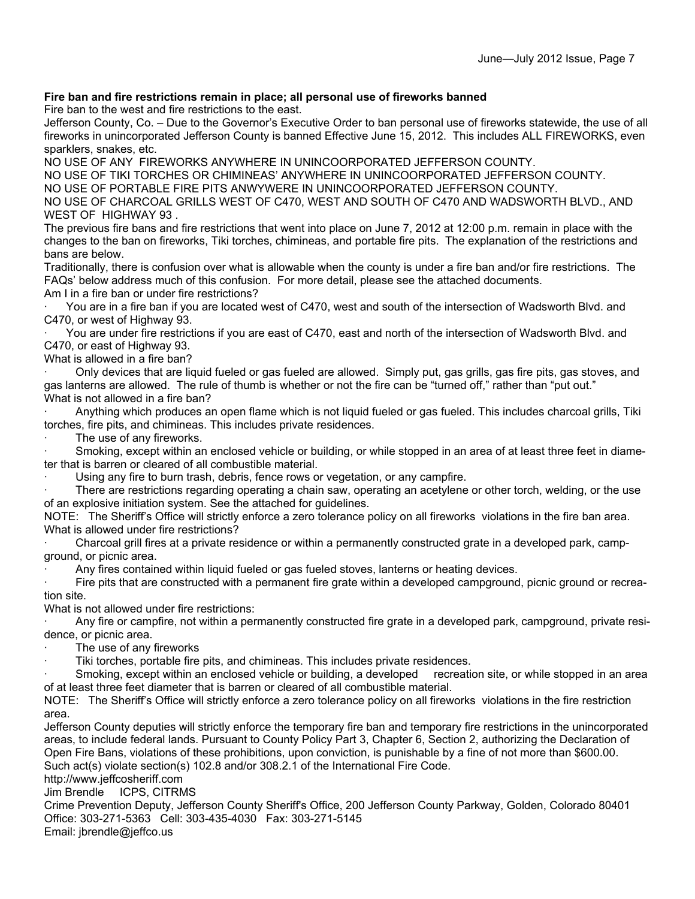### **Fire ban and fire restrictions remain in place; all personal use of fireworks banned**

Fire ban to the west and fire restrictions to the east.

Jefferson County, Co. – Due to the Governor's Executive Order to ban personal use of fireworks statewide, the use of all fireworks in unincorporated Jefferson County is banned Effective June 15, 2012. This includes ALL FIREWORKS, even sparklers, snakes, etc.

NO USE OF ANY FIREWORKS ANYWHERE IN UNINCOORPORATED JEFFERSON COUNTY.

NO USE OF TIKI TORCHES OR CHIMINEAS' ANYWHERE IN UNINCOORPORATED JEFFERSON COUNTY.

NO USE OF PORTABLE FIRE PITS ANWYWERE IN UNINCOORPORATED JEFFERSON COUNTY.

NO USE OF CHARCOAL GRILLS WEST OF C470, WEST AND SOUTH OF C470 AND WADSWORTH BLVD., AND WEST OF HIGHWAY 93 .

The previous fire bans and fire restrictions that went into place on June 7, 2012 at 12:00 p.m. remain in place with the changes to the ban on fireworks, Tiki torches, chimineas, and portable fire pits. The explanation of the restrictions and bans are below.

Traditionally, there is confusion over what is allowable when the county is under a fire ban and/or fire restrictions. The FAQs' below address much of this confusion. For more detail, please see the attached documents.

Am I in a fire ban or under fire restrictions?

· You are in a fire ban if you are located west of C470, west and south of the intersection of Wadsworth Blvd. and C470, or west of Highway 93.

· You are under fire restrictions if you are east of C470, east and north of the intersection of Wadsworth Blvd. and C470, or east of Highway 93.

### What is allowed in a fire ban?

· Only devices that are liquid fueled or gas fueled are allowed. Simply put, gas grills, gas fire pits, gas stoves, and gas lanterns are allowed. The rule of thumb is whether or not the fire can be "turned off," rather than "put out." What is not allowed in a fire ban?

· Anything which produces an open flame which is not liquid fueled or gas fueled. This includes charcoal grills, Tiki torches, fire pits, and chimineas. This includes private residences.

The use of any fireworks.

· Smoking, except within an enclosed vehicle or building, or while stopped in an area of at least three feet in diameter that is barren or cleared of all combustible material.

Using any fire to burn trash, debris, fence rows or vegetation, or any campfire.

There are restrictions regarding operating a chain saw, operating an acetylene or other torch, welding, or the use of an explosive initiation system. See the attached for guidelines.

NOTE: The Sheriff's Office will strictly enforce a zero tolerance policy on all fireworks violations in the fire ban area. What is allowed under fire restrictions?

· Charcoal grill fires at a private residence or within a permanently constructed grate in a developed park, campground, or picnic area.

· Any fires contained within liquid fueled or gas fueled stoves, lanterns or heating devices.

Fire pits that are constructed with a permanent fire grate within a developed campground, picnic ground or recreation site.

What is not allowed under fire restrictions:

· Any fire or campfire, not within a permanently constructed fire grate in a developed park, campground, private residence, or picnic area.

The use of any fireworks

Tiki torches, portable fire pits, and chimineas. This includes private residences.

Smoking, except within an enclosed vehicle or building, a developed recreation site, or while stopped in an area of at least three feet diameter that is barren or cleared of all combustible material.

NOTE: The Sheriff's Office will strictly enforce a zero tolerance policy on all fireworks violations in the fire restriction area.

Jefferson County deputies will strictly enforce the temporary fire ban and temporary fire restrictions in the unincorporated areas, to include federal lands. Pursuant to County Policy Part 3, Chapter 6, Section 2, authorizing the Declaration of Open Fire Bans, violations of these prohibitions, upon conviction, is punishable by a fine of not more than \$600.00. Such act(s) violate section(s) 102.8 and/or 308.2.1 of the International Fire Code.

http://www.jeffcosheriff.com

Jim Brendle ICPS, CITRMS

Crime Prevention Deputy, Jefferson County Sheriff's Office, 200 Jefferson County Parkway, Golden, Colorado 80401 Office: 303-271-5363 Cell: 303-435-4030 Fax: 303-271-5145

Email: jbrendle@jeffco.us